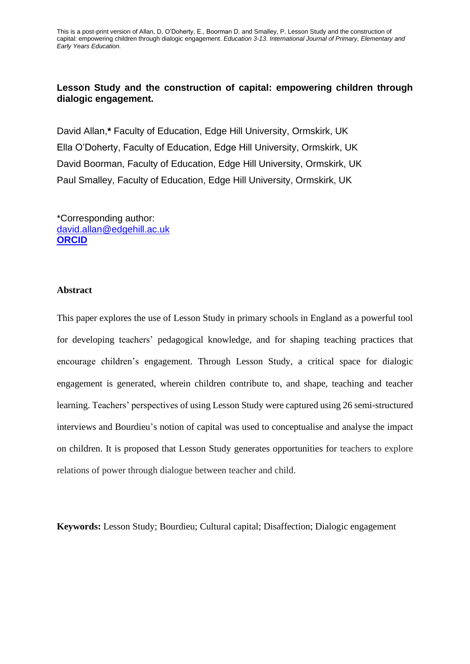# **Lesson Study and the construction of capital: empowering children through dialogic engagement.**

David Allan,**\*** Faculty of Education, Edge Hill University, Ormskirk, UK Ella O'Doherty, Faculty of Education, Edge Hill University, Ormskirk, UK David Boorman, Faculty of Education, Edge Hill University, Ormskirk, UK Paul Smalley, Faculty of Education, Edge Hill University, Ormskirk, UK

\*Corresponding author: [david.allan@edgehill.ac.uk](mailto:david.allan@edgehill.ac.uk) **[ORCID](https://orcid.org/0000-0002-7697-7307)**

#### **Abstract**

This paper explores the use of Lesson Study in primary schools in England as a powerful tool for developing teachers' pedagogical knowledge, and for shaping teaching practices that encourage children's engagement. Through Lesson Study, a critical space for dialogic engagement is generated, wherein children contribute to, and shape, teaching and teacher learning. Teachers' perspectives of using Lesson Study were captured using 26 semi-structured interviews and Bourdieu's notion of capital was used to conceptualise and analyse the impact on children. It is proposed that Lesson Study generates opportunities for teachers to explore relations of power through dialogue between teacher and child.

**Keywords:** Lesson Study; Bourdieu; Cultural capital; Disaffection; Dialogic engagement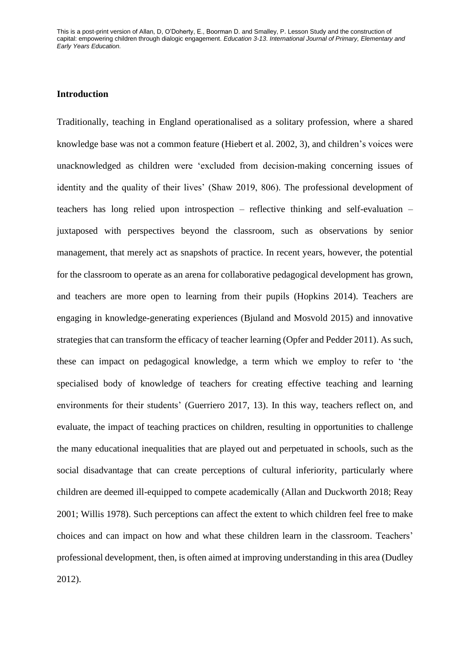# **Introduction**

Traditionally, teaching in England operationalised as a solitary profession, where a shared knowledge base was not a common feature (Hiebert et al. 2002, 3), and children's voices were unacknowledged as children were 'excluded from decision-making concerning issues of identity and the quality of their lives' (Shaw 2019, 806). The professional development of teachers has long relied upon introspection – reflective thinking and self-evaluation – juxtaposed with perspectives beyond the classroom, such as observations by senior management, that merely act as snapshots of practice. In recent years, however, the potential for the classroom to operate as an arena for collaborative pedagogical development has grown, and teachers are more open to learning from their pupils (Hopkins 2014). Teachers are engaging in knowledge-generating experiences (Bjuland and Mosvold 2015) and innovative strategies that can transform the efficacy of teacher learning (Opfer and Pedder 2011). As such, these can impact on pedagogical knowledge, a term which we employ to refer to 'the specialised body of knowledge of teachers for creating effective teaching and learning environments for their students' (Guerriero 2017, 13). In this way, teachers reflect on, and evaluate, the impact of teaching practices on children, resulting in opportunities to challenge the many educational inequalities that are played out and perpetuated in schools, such as the social disadvantage that can create perceptions of cultural inferiority, particularly where children are deemed ill-equipped to compete academically (Allan and Duckworth 2018; Reay 2001; Willis 1978). Such perceptions can affect the extent to which children feel free to make choices and can impact on how and what these children learn in the classroom. Teachers' professional development, then, is often aimed at improving understanding in this area (Dudley 2012).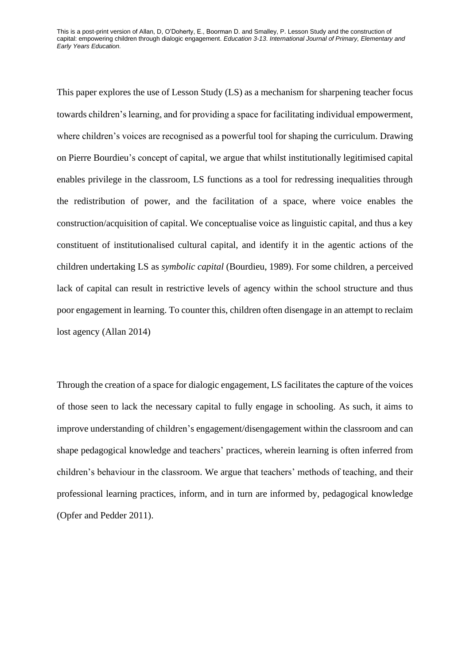This paper explores the use of Lesson Study (LS) as a mechanism for sharpening teacher focus towards children's learning, and for providing a space for facilitating individual empowerment, where children's voices are recognised as a powerful tool for shaping the curriculum. Drawing on Pierre Bourdieu's concept of capital, we argue that whilst institutionally legitimised capital enables privilege in the classroom, LS functions as a tool for redressing inequalities through the redistribution of power, and the facilitation of a space, where voice enables the construction/acquisition of capital. We conceptualise voice as linguistic capital, and thus a key constituent of institutionalised cultural capital, and identify it in the agentic actions of the children undertaking LS as *symbolic capital* (Bourdieu, 1989). For some children, a perceived lack of capital can result in restrictive levels of agency within the school structure and thus poor engagement in learning. To counter this, children often disengage in an attempt to reclaim lost agency (Allan 2014)

Through the creation of a space for dialogic engagement, LS facilitates the capture of the voices of those seen to lack the necessary capital to fully engage in schooling. As such, it aims to improve understanding of children's engagement/disengagement within the classroom and can shape pedagogical knowledge and teachers' practices, wherein learning is often inferred from children's behaviour in the classroom. We argue that teachers' methods of teaching, and their professional learning practices, inform, and in turn are informed by, pedagogical knowledge (Opfer and Pedder 2011).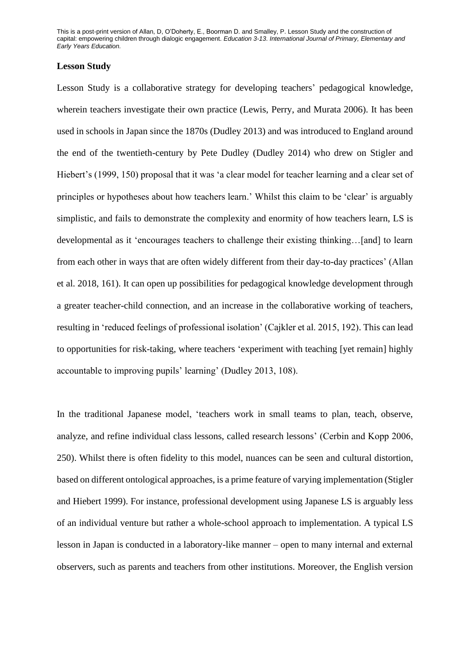### **Lesson Study**

Lesson Study is a collaborative strategy for developing teachers' pedagogical knowledge, wherein teachers investigate their own practice (Lewis, Perry, and Murata 2006). It has been used in schools in Japan since the 1870s (Dudley 2013) and was introduced to England around the end of the twentieth-century by Pete Dudley (Dudley 2014) who drew on Stigler and Hiebert's (1999, 150) proposal that it was 'a clear model for teacher learning and a clear set of principles or hypotheses about how teachers learn.' Whilst this claim to be 'clear' is arguably simplistic, and fails to demonstrate the complexity and enormity of how teachers learn, LS is developmental as it 'encourages teachers to challenge their existing thinking…[and] to learn from each other in ways that are often widely different from their day-to-day practices' (Allan et al. 2018, 161). It can open up possibilities for pedagogical knowledge development through a greater teacher-child connection, and an increase in the collaborative working of teachers, resulting in 'reduced feelings of professional isolation' (Cajkler et al. 2015, 192). This can lead to opportunities for risk-taking, where teachers 'experiment with teaching [yet remain] highly accountable to improving pupils' learning' (Dudley 2013, 108).

In the traditional Japanese model, 'teachers work in small teams to plan, teach, observe, analyze, and refine individual class lessons, called research lessons' (Cerbin and Kopp 2006, 250). Whilst there is often fidelity to this model, nuances can be seen and cultural distortion, based on different ontological approaches, is a prime feature of varying implementation (Stigler and Hiebert 1999). For instance, professional development using Japanese LS is arguably less of an individual venture but rather a whole-school approach to implementation. A typical LS lesson in Japan is conducted in a laboratory-like manner – open to many internal and external observers, such as parents and teachers from other institutions. Moreover, the English version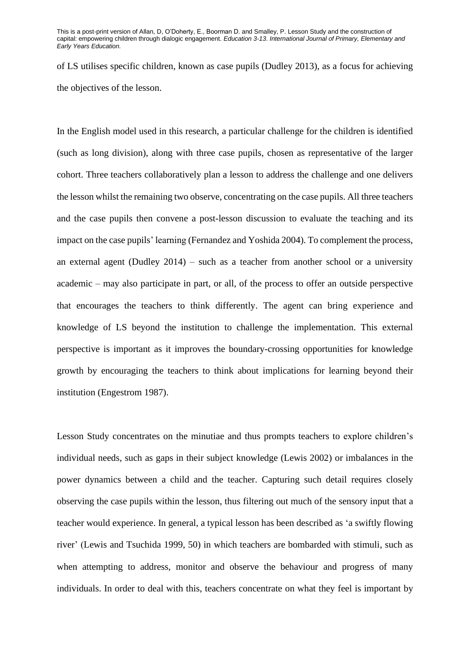of LS utilises specific children, known as case pupils (Dudley 2013), as a focus for achieving the objectives of the lesson.

In the English model used in this research, a particular challenge for the children is identified (such as long division), along with three case pupils, chosen as representative of the larger cohort. Three teachers collaboratively plan a lesson to address the challenge and one delivers the lesson whilst the remaining two observe, concentrating on the case pupils. All three teachers and the case pupils then convene a post-lesson discussion to evaluate the teaching and its impact on the case pupils' learning (Fernandez and Yoshida 2004). To complement the process, an external agent (Dudley 2014) – such as a teacher from another school or a university academic – may also participate in part, or all, of the process to offer an outside perspective that encourages the teachers to think differently. The agent can bring experience and knowledge of LS beyond the institution to challenge the implementation. This external perspective is important as it improves the boundary-crossing opportunities for knowledge growth by encouraging the teachers to think about implications for learning beyond their institution (Engestrom 1987).

Lesson Study concentrates on the minutiae and thus prompts teachers to explore children's individual needs, such as gaps in their subject knowledge (Lewis 2002) or imbalances in the power dynamics between a child and the teacher. Capturing such detail requires closely observing the case pupils within the lesson, thus filtering out much of the sensory input that a teacher would experience. In general, a typical lesson has been described as 'a swiftly flowing river' (Lewis and Tsuchida 1999, 50) in which teachers are bombarded with stimuli, such as when attempting to address, monitor and observe the behaviour and progress of many individuals. In order to deal with this, teachers concentrate on what they feel is important by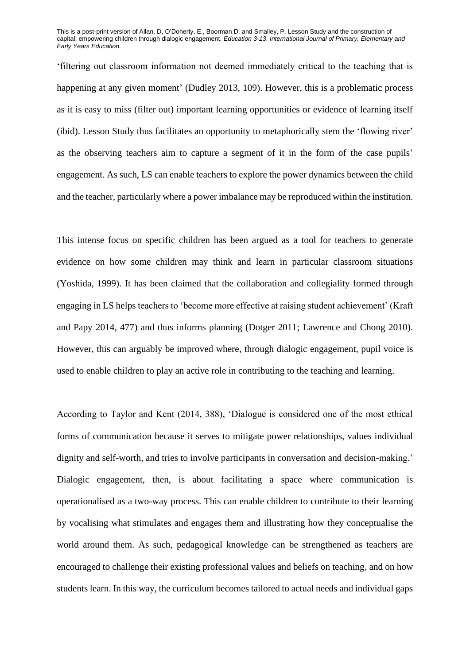'filtering out classroom information not deemed immediately critical to the teaching that is happening at any given moment' (Dudley 2013, 109). However, this is a problematic process as it is easy to miss (filter out) important learning opportunities or evidence of learning itself (ibid). Lesson Study thus facilitates an opportunity to metaphorically stem the 'flowing river' as the observing teachers aim to capture a segment of it in the form of the case pupils' engagement. As such, LS can enable teachers to explore the power dynamics between the child and the teacher, particularly where a power imbalance may be reproduced within the institution.

This intense focus on specific children has been argued as a tool for teachers to generate evidence on how some children may think and learn in particular classroom situations (Yoshida, 1999). It has been claimed that the collaboration and collegiality formed through engaging in LS helps teachers to 'become more effective at raising student achievement' (Kraft and Papy 2014, 477) and thus informs planning (Dotger 2011; Lawrence and Chong 2010). However, this can arguably be improved where, through dialogic engagement, pupil voice is used to enable children to play an active role in contributing to the teaching and learning.

According to Taylor and Kent (2014, 388), 'Dialogue is considered one of the most ethical forms of communication because it serves to mitigate power relationships, values individual dignity and self-worth, and tries to involve participants in conversation and decision-making.' Dialogic engagement, then, is about facilitating a space where communication is operationalised as a two-way process. This can enable children to contribute to their learning by vocalising what stimulates and engages them and illustrating how they conceptualise the world around them. As such, pedagogical knowledge can be strengthened as teachers are encouraged to challenge their existing professional values and beliefs on teaching, and on how students learn. In this way, the curriculum becomes tailored to actual needs and individual gaps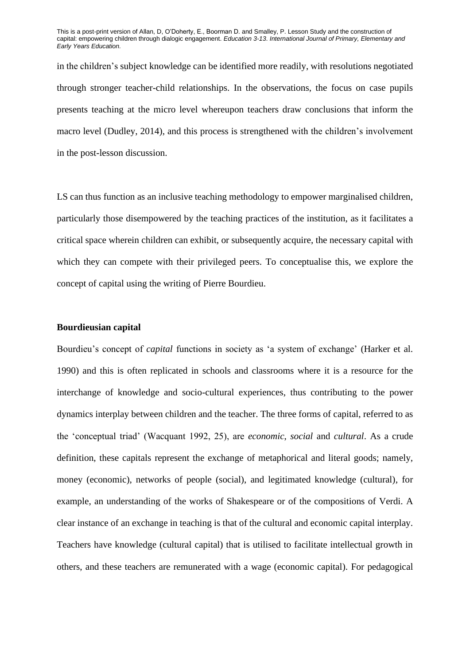in the children's subject knowledge can be identified more readily, with resolutions negotiated through stronger teacher-child relationships. In the observations, the focus on case pupils presents teaching at the micro level whereupon teachers draw conclusions that inform the macro level (Dudley, 2014), and this process is strengthened with the children's involvement in the post-lesson discussion.

LS can thus function as an inclusive teaching methodology to empower marginalised children, particularly those disempowered by the teaching practices of the institution, as it facilitates a critical space wherein children can exhibit, or subsequently acquire, the necessary capital with which they can compete with their privileged peers. To conceptualise this, we explore the concept of capital using the writing of Pierre Bourdieu.

#### **Bourdieusian capital**

Bourdieu's concept of *capital* functions in society as 'a system of exchange' (Harker et al. 1990) and this is often replicated in schools and classrooms where it is a resource for the interchange of knowledge and socio-cultural experiences, thus contributing to the power dynamics interplay between children and the teacher. The three forms of capital, referred to as the 'conceptual triad' (Wacquant 1992, 25), are *economic*, *social* and *cultural*. As a crude definition, these capitals represent the exchange of metaphorical and literal goods; namely, money (economic), networks of people (social), and legitimated knowledge (cultural), for example, an understanding of the works of Shakespeare or of the compositions of Verdi. A clear instance of an exchange in teaching is that of the cultural and economic capital interplay. Teachers have knowledge (cultural capital) that is utilised to facilitate intellectual growth in others, and these teachers are remunerated with a wage (economic capital). For pedagogical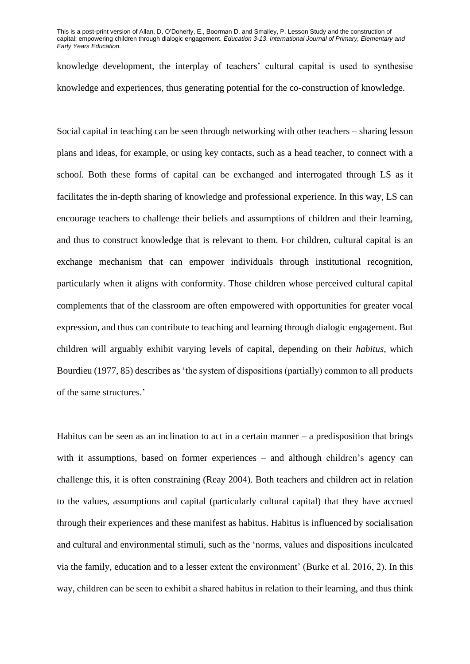knowledge development, the interplay of teachers' cultural capital is used to synthesise knowledge and experiences, thus generating potential for the co-construction of knowledge.

Social capital in teaching can be seen through networking with other teachers – sharing lesson plans and ideas, for example, or using key contacts, such as a head teacher, to connect with a school. Both these forms of capital can be exchanged and interrogated through LS as it facilitates the in-depth sharing of knowledge and professional experience. In this way, LS can encourage teachers to challenge their beliefs and assumptions of children and their learning, and thus to construct knowledge that is relevant to them. For children, cultural capital is an exchange mechanism that can empower individuals through institutional recognition, particularly when it aligns with conformity. Those children whose perceived cultural capital complements that of the classroom are often empowered with opportunities for greater vocal expression, and thus can contribute to teaching and learning through dialogic engagement. But children will arguably exhibit varying levels of capital, depending on their *habitus*, which Bourdieu (1977, 85) describes as 'the system of dispositions (partially) common to all products of the same structures.'

Habitus can be seen as an inclination to act in a certain manner  $-$  a predisposition that brings with it assumptions, based on former experiences – and although children's agency can challenge this, it is often constraining (Reay 2004). Both teachers and children act in relation to the values, assumptions and capital (particularly cultural capital) that they have accrued through their experiences and these manifest as habitus. Habitus is influenced by socialisation and cultural and environmental stimuli, such as the 'norms, values and dispositions inculcated via the family, education and to a lesser extent the environment' (Burke et al. 2016, 2). In this way, children can be seen to exhibit a shared habitus in relation to their learning, and thus think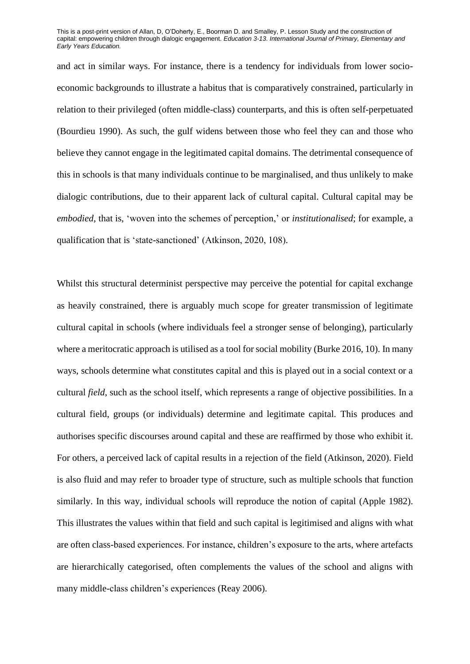and act in similar ways. For instance, there is a tendency for individuals from lower socioeconomic backgrounds to illustrate a habitus that is comparatively constrained, particularly in relation to their privileged (often middle-class) counterparts, and this is often self-perpetuated (Bourdieu 1990). As such, the gulf widens between those who feel they can and those who believe they cannot engage in the legitimated capital domains. The detrimental consequence of this in schools is that many individuals continue to be marginalised, and thus unlikely to make dialogic contributions, due to their apparent lack of cultural capital. Cultural capital may be *embodied*, that is, 'woven into the schemes of perception,' or *institutionalised*; for example, a qualification that is 'state-sanctioned' (Atkinson, 2020, 108).

Whilst this structural determinist perspective may perceive the potential for capital exchange as heavily constrained, there is arguably much scope for greater transmission of legitimate cultural capital in schools (where individuals feel a stronger sense of belonging), particularly where a meritocratic approach is utilised as a tool for social mobility (Burke 2016, 10). In many ways, schools determine what constitutes capital and this is played out in a social context or a cultural *field*, such as the school itself, which represents a range of objective possibilities. In a cultural field, groups (or individuals) determine and legitimate capital. This produces and authorises specific discourses around capital and these are reaffirmed by those who exhibit it. For others, a perceived lack of capital results in a rejection of the field (Atkinson, 2020). Field is also fluid and may refer to broader type of structure, such as multiple schools that function similarly. In this way, individual schools will reproduce the notion of capital (Apple 1982). This illustrates the values within that field and such capital is legitimised and aligns with what are often class-based experiences. For instance, children's exposure to the arts, where artefacts are hierarchically categorised, often complements the values of the school and aligns with many middle-class children's experiences (Reay 2006).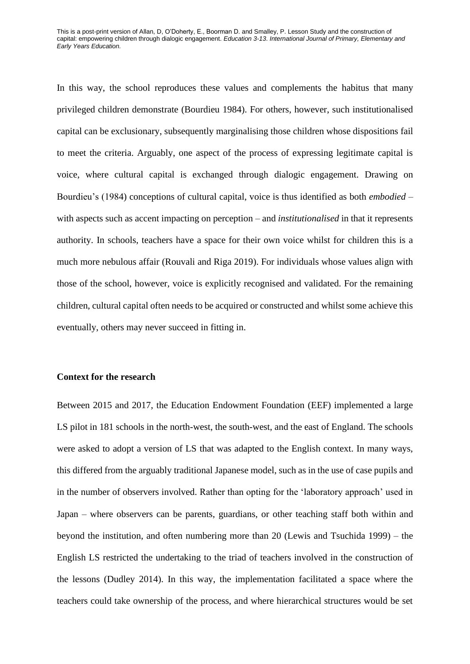In this way, the school reproduces these values and complements the habitus that many privileged children demonstrate (Bourdieu 1984). For others, however, such institutionalised capital can be exclusionary, subsequently marginalising those children whose dispositions fail to meet the criteria. Arguably, one aspect of the process of expressing legitimate capital is voice, where cultural capital is exchanged through dialogic engagement. Drawing on Bourdieu's (1984) conceptions of cultural capital, voice is thus identified as both *embodied* – with aspects such as accent impacting on perception – and *institutionalised* in that it represents authority. In schools, teachers have a space for their own voice whilst for children this is a much more nebulous affair (Rouvali and Riga 2019). For individuals whose values align with those of the school, however, voice is explicitly recognised and validated. For the remaining children, cultural capital often needs to be acquired or constructed and whilst some achieve this eventually, others may never succeed in fitting in.

## **Context for the research**

Between 2015 and 2017, the Education Endowment Foundation (EEF) implemented a large LS pilot in 181 schools in the north-west, the south-west, and the east of England. The schools were asked to adopt a version of LS that was adapted to the English context. In many ways, this differed from the arguably traditional Japanese model, such as in the use of case pupils and in the number of observers involved. Rather than opting for the 'laboratory approach' used in Japan – where observers can be parents, guardians, or other teaching staff both within and beyond the institution, and often numbering more than 20 (Lewis and Tsuchida 1999) – the English LS restricted the undertaking to the triad of teachers involved in the construction of the lessons (Dudley 2014). In this way, the implementation facilitated a space where the teachers could take ownership of the process, and where hierarchical structures would be set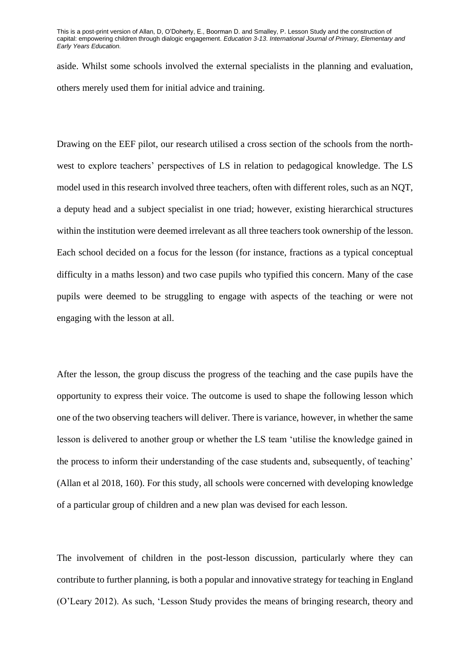aside. Whilst some schools involved the external specialists in the planning and evaluation, others merely used them for initial advice and training.

Drawing on the EEF pilot, our research utilised a cross section of the schools from the northwest to explore teachers' perspectives of LS in relation to pedagogical knowledge. The LS model used in this research involved three teachers, often with different roles, such as an NQT, a deputy head and a subject specialist in one triad; however, existing hierarchical structures within the institution were deemed irrelevant as all three teachers took ownership of the lesson. Each school decided on a focus for the lesson (for instance, fractions as a typical conceptual difficulty in a maths lesson) and two case pupils who typified this concern. Many of the case pupils were deemed to be struggling to engage with aspects of the teaching or were not engaging with the lesson at all.

After the lesson, the group discuss the progress of the teaching and the case pupils have the opportunity to express their voice. The outcome is used to shape the following lesson which one of the two observing teachers will deliver. There is variance, however, in whether the same lesson is delivered to another group or whether the LS team 'utilise the knowledge gained in the process to inform their understanding of the case students and, subsequently, of teaching' (Allan et al 2018, 160). For this study, all schools were concerned with developing knowledge of a particular group of children and a new plan was devised for each lesson.

The involvement of children in the post-lesson discussion, particularly where they can contribute to further planning, is both a popular and innovative strategy for teaching in England (O'Leary 2012). As such, 'Lesson Study provides the means of bringing research, theory and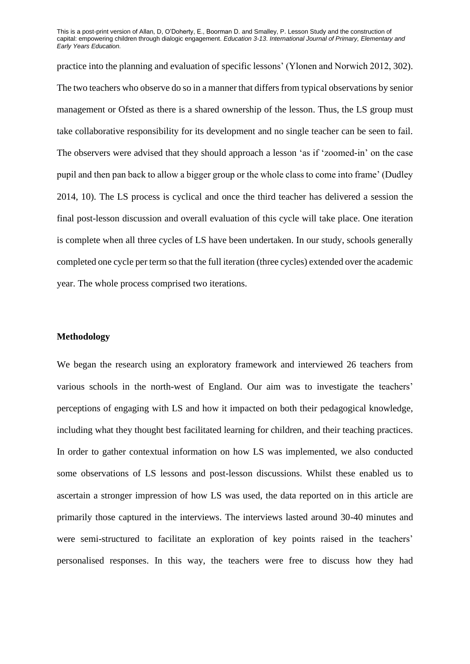practice into the planning and evaluation of specific lessons' (Ylonen and Norwich 2012, 302). The two teachers who observe do so in a manner that differs from typical observations by senior management or Ofsted as there is a shared ownership of the lesson. Thus, the LS group must take collaborative responsibility for its development and no single teacher can be seen to fail. The observers were advised that they should approach a lesson 'as if 'zoomed-in' on the case pupil and then pan back to allow a bigger group or the whole class to come into frame' (Dudley 2014, 10). The LS process is cyclical and once the third teacher has delivered a session the final post-lesson discussion and overall evaluation of this cycle will take place. One iteration is complete when all three cycles of LS have been undertaken. In our study, schools generally completed one cycle per term so that the full iteration (three cycles) extended over the academic year. The whole process comprised two iterations.

## **Methodology**

We began the research using an exploratory framework and interviewed 26 teachers from various schools in the north-west of England. Our aim was to investigate the teachers' perceptions of engaging with LS and how it impacted on both their pedagogical knowledge, including what they thought best facilitated learning for children, and their teaching practices. In order to gather contextual information on how LS was implemented, we also conducted some observations of LS lessons and post-lesson discussions. Whilst these enabled us to ascertain a stronger impression of how LS was used, the data reported on in this article are primarily those captured in the interviews. The interviews lasted around 30-40 minutes and were semi-structured to facilitate an exploration of key points raised in the teachers' personalised responses. In this way, the teachers were free to discuss how they had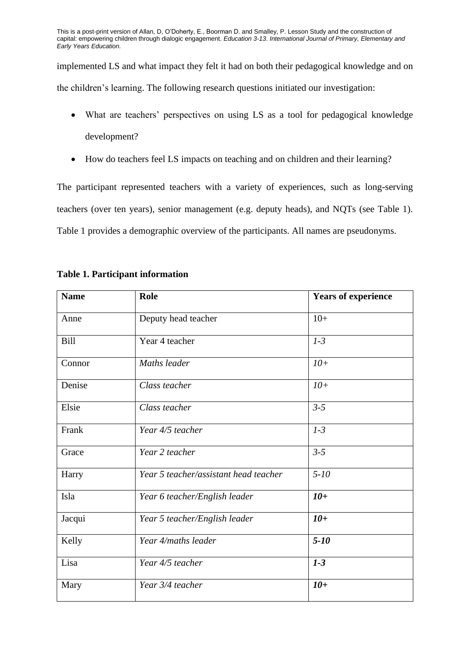implemented LS and what impact they felt it had on both their pedagogical knowledge and on the children's learning. The following research questions initiated our investigation:

- What are teachers' perspectives on using LS as a tool for pedagogical knowledge development?
- How do teachers feel LS impacts on teaching and on children and their learning?

The participant represented teachers with a variety of experiences, such as long-serving teachers (over ten years), senior management (e.g. deputy heads), and NQTs (see Table 1). Table 1 provides a demographic overview of the participants. All names are pseudonyms.

| <b>Name</b> | Role                                  | <b>Years of experience</b> |
|-------------|---------------------------------------|----------------------------|
| Anne        | Deputy head teacher                   | $10+$                      |
| Bill        | Year 4 teacher                        | $1-3$                      |
| Connor      | Maths leader                          | $10+$                      |
| Denise      | Class teacher                         | $10+$                      |
| Elsie       | Class teacher                         | $3 - 5$                    |
| Frank       | Year 4/5 teacher                      | $1-3$                      |
| Grace       | Year 2 teacher                        | $3 - 5$                    |
| Harry       | Year 5 teacher/assistant head teacher | $5 - 10$                   |
| Isla        | Year 6 teacher/English leader         | $10+$                      |
| Jacqui      | Year 5 teacher/English leader         | $10+$                      |
| Kelly       | Year 4/maths leader                   | $5 - 10$                   |
| Lisa        | Year 4/5 teacher                      | $1-3$                      |
| Mary        | Year 3/4 teacher                      | $10+$                      |

# **Table 1. Participant information**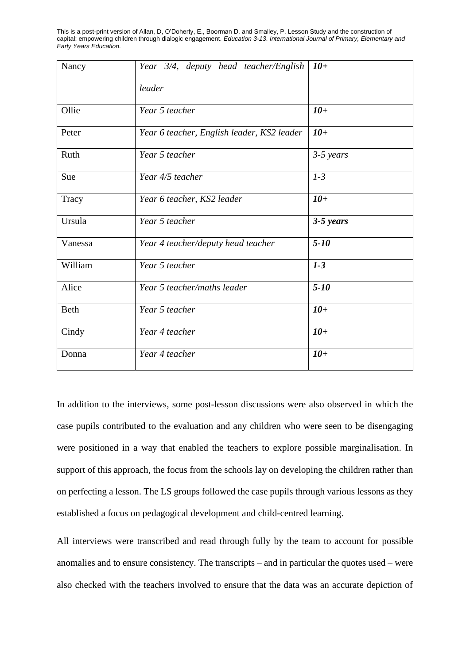| Nancy       | Year 3/4, deputy head teacher/English      | $10+$       |
|-------------|--------------------------------------------|-------------|
|             | leader                                     |             |
| Ollie       | Year 5 teacher                             | $10+$       |
| Peter       | Year 6 teacher, English leader, KS2 leader | $10+$       |
| Ruth        | Year 5 teacher                             | $3-5$ years |
| Sue         | Year 4/5 teacher                           | $1-3$       |
| Tracy       | Year 6 teacher, KS2 leader                 | $10+$       |
| Ursula      | Year 5 teacher                             | $3-5$ years |
| Vanessa     | Year 4 teacher/deputy head teacher         | $5 - 10$    |
| William     | Year 5 teacher                             | $1-3$       |
| Alice       | Year 5 teacher/maths leader                | $5 - 10$    |
| <b>Beth</b> | Year 5 teacher                             | $10+$       |
| Cindy       | Year 4 teacher                             | $10+$       |
| Donna       | Year 4 teacher                             | $10+$       |

In addition to the interviews, some post-lesson discussions were also observed in which the case pupils contributed to the evaluation and any children who were seen to be disengaging were positioned in a way that enabled the teachers to explore possible marginalisation. In support of this approach, the focus from the schools lay on developing the children rather than on perfecting a lesson. The LS groups followed the case pupils through various lessons as they established a focus on pedagogical development and child-centred learning.

All interviews were transcribed and read through fully by the team to account for possible anomalies and to ensure consistency. The transcripts – and in particular the quotes used – were also checked with the teachers involved to ensure that the data was an accurate depiction of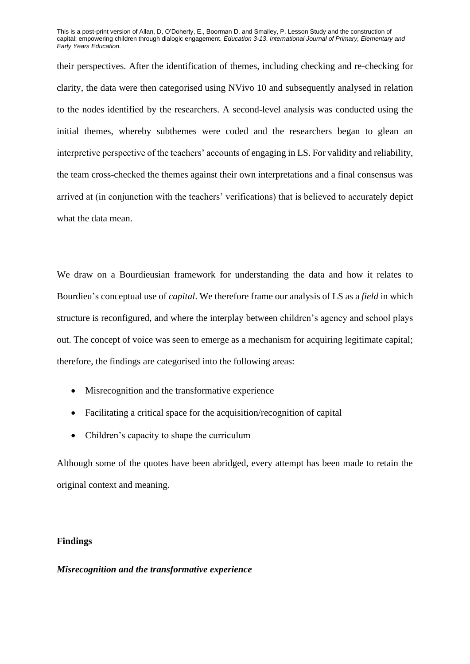their perspectives. After the identification of themes, including checking and re-checking for clarity, the data were then categorised using NVivo 10 and subsequently analysed in relation to the nodes identified by the researchers. A second-level analysis was conducted using the initial themes, whereby subthemes were coded and the researchers began to glean an interpretive perspective of the teachers' accounts of engaging in LS. For validity and reliability, the team cross-checked the themes against their own interpretations and a final consensus was arrived at (in conjunction with the teachers' verifications) that is believed to accurately depict what the data mean.

We draw on a Bourdieusian framework for understanding the data and how it relates to Bourdieu's conceptual use of *capital*. We therefore frame our analysis of LS as a *field* in which structure is reconfigured, and where the interplay between children's agency and school plays out. The concept of voice was seen to emerge as a mechanism for acquiring legitimate capital; therefore, the findings are categorised into the following areas:

- Misrecognition and the transformative experience
- Facilitating a critical space for the acquisition/recognition of capital
- Children's capacity to shape the curriculum

Although some of the quotes have been abridged, every attempt has been made to retain the original context and meaning.

### **Findings**

### *Misrecognition and the transformative experience*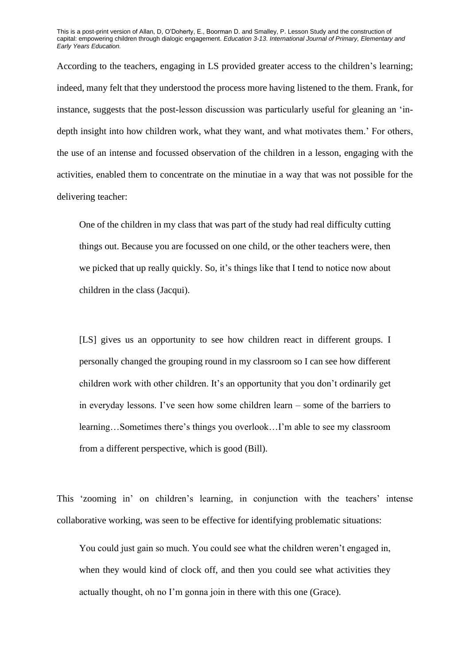According to the teachers, engaging in LS provided greater access to the children's learning; indeed, many felt that they understood the process more having listened to the them. Frank, for instance, suggests that the post-lesson discussion was particularly useful for gleaning an 'indepth insight into how children work, what they want, and what motivates them.' For others, the use of an intense and focussed observation of the children in a lesson, engaging with the activities, enabled them to concentrate on the minutiae in a way that was not possible for the delivering teacher:

One of the children in my class that was part of the study had real difficulty cutting things out. Because you are focussed on one child, or the other teachers were, then we picked that up really quickly. So, it's things like that I tend to notice now about children in the class (Jacqui).

[LS] gives us an opportunity to see how children react in different groups. I personally changed the grouping round in my classroom so I can see how different children work with other children. It's an opportunity that you don't ordinarily get in everyday lessons. I've seen how some children learn – some of the barriers to learning…Sometimes there's things you overlook…I'm able to see my classroom from a different perspective, which is good (Bill).

This 'zooming in' on children's learning, in conjunction with the teachers' intense collaborative working, was seen to be effective for identifying problematic situations:

You could just gain so much. You could see what the children weren't engaged in, when they would kind of clock off, and then you could see what activities they actually thought, oh no I'm gonna join in there with this one (Grace).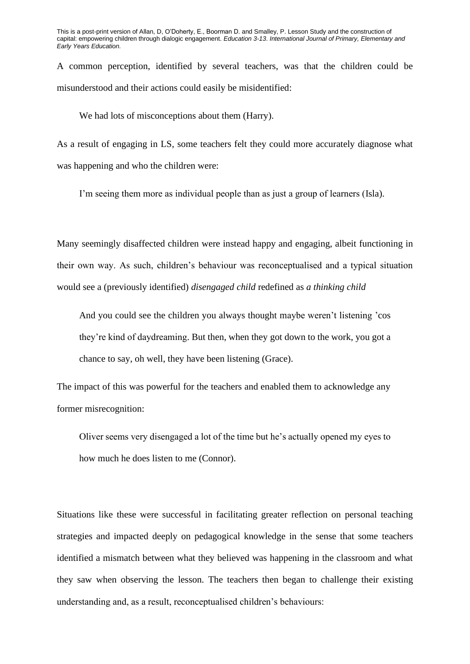A common perception, identified by several teachers, was that the children could be misunderstood and their actions could easily be misidentified:

We had lots of misconceptions about them (Harry).

As a result of engaging in LS, some teachers felt they could more accurately diagnose what was happening and who the children were:

I'm seeing them more as individual people than as just a group of learners (Isla).

Many seemingly disaffected children were instead happy and engaging, albeit functioning in their own way. As such, children's behaviour was reconceptualised and a typical situation would see a (previously identified) *disengaged child* redefined as *a thinking child*

And you could see the children you always thought maybe weren't listening 'cos they're kind of daydreaming. But then, when they got down to the work, you got a chance to say, oh well, they have been listening (Grace).

The impact of this was powerful for the teachers and enabled them to acknowledge any former misrecognition:

Oliver seems very disengaged a lot of the time but he's actually opened my eyes to how much he does listen to me (Connor).

Situations like these were successful in facilitating greater reflection on personal teaching strategies and impacted deeply on pedagogical knowledge in the sense that some teachers identified a mismatch between what they believed was happening in the classroom and what they saw when observing the lesson. The teachers then began to challenge their existing understanding and, as a result, reconceptualised children's behaviours: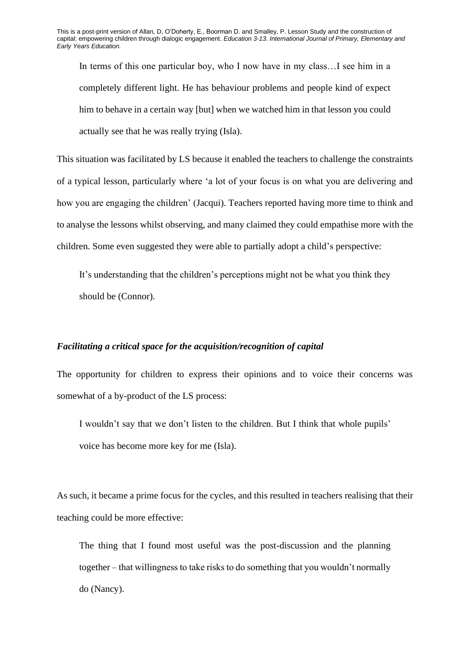In terms of this one particular boy, who I now have in my class…I see him in a completely different light. He has behaviour problems and people kind of expect him to behave in a certain way [but] when we watched him in that lesson you could actually see that he was really trying (Isla).

This situation was facilitated by LS because it enabled the teachers to challenge the constraints of a typical lesson, particularly where 'a lot of your focus is on what you are delivering and how you are engaging the children' (Jacqui). Teachers reported having more time to think and to analyse the lessons whilst observing, and many claimed they could empathise more with the children. Some even suggested they were able to partially adopt a child's perspective:

It's understanding that the children's perceptions might not be what you think they should be (Connor).

#### *Facilitating a critical space for the acquisition/recognition of capital*

The opportunity for children to express their opinions and to voice their concerns was somewhat of a by-product of the LS process:

I wouldn't say that we don't listen to the children. But I think that whole pupils' voice has become more key for me (Isla).

As such, it became a prime focus for the cycles, and this resulted in teachers realising that their teaching could be more effective:

The thing that I found most useful was the post-discussion and the planning together – that willingness to take risks to do something that you wouldn't normally do (Nancy).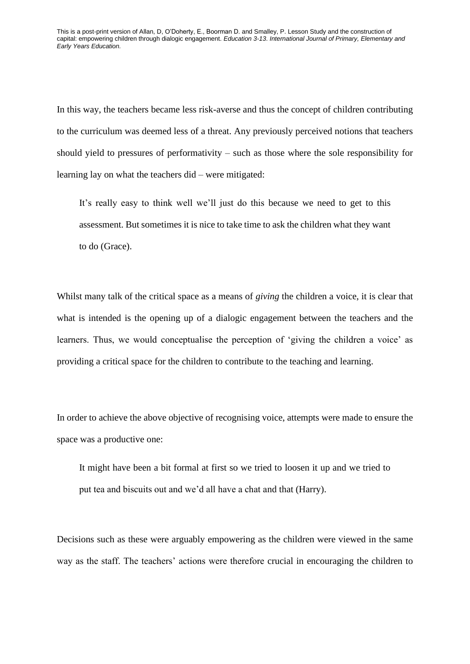In this way, the teachers became less risk-averse and thus the concept of children contributing to the curriculum was deemed less of a threat. Any previously perceived notions that teachers should yield to pressures of performativity – such as those where the sole responsibility for learning lay on what the teachers did – were mitigated:

It's really easy to think well we'll just do this because we need to get to this assessment. But sometimes it is nice to take time to ask the children what they want to do (Grace).

Whilst many talk of the critical space as a means of *giving* the children a voice, it is clear that what is intended is the opening up of a dialogic engagement between the teachers and the learners. Thus, we would conceptualise the perception of 'giving the children a voice' as providing a critical space for the children to contribute to the teaching and learning.

In order to achieve the above objective of recognising voice, attempts were made to ensure the space was a productive one:

It might have been a bit formal at first so we tried to loosen it up and we tried to put tea and biscuits out and we'd all have a chat and that (Harry).

Decisions such as these were arguably empowering as the children were viewed in the same way as the staff. The teachers' actions were therefore crucial in encouraging the children to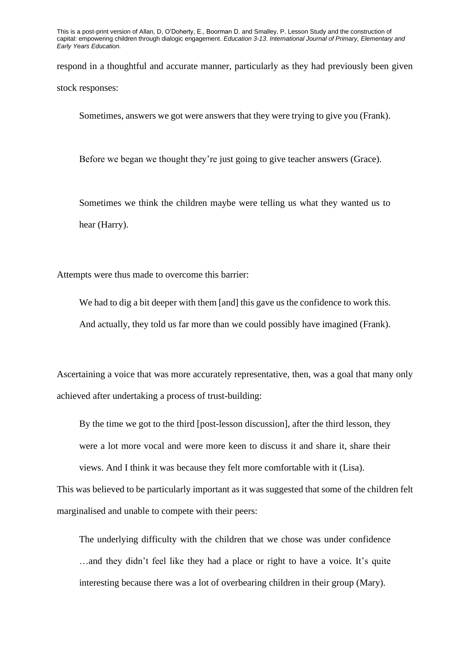respond in a thoughtful and accurate manner, particularly as they had previously been given stock responses:

Sometimes, answers we got were answers that they were trying to give you (Frank).

Before we began we thought they're just going to give teacher answers (Grace).

Sometimes we think the children maybe were telling us what they wanted us to hear (Harry).

Attempts were thus made to overcome this barrier:

We had to dig a bit deeper with them [and] this gave us the confidence to work this. And actually, they told us far more than we could possibly have imagined (Frank).

Ascertaining a voice that was more accurately representative, then, was a goal that many only achieved after undertaking a process of trust-building:

By the time we got to the third [post-lesson discussion], after the third lesson, they were a lot more vocal and were more keen to discuss it and share it, share their views. And I think it was because they felt more comfortable with it (Lisa).

This was believed to be particularly important as it was suggested that some of the children felt marginalised and unable to compete with their peers:

The underlying difficulty with the children that we chose was under confidence …and they didn't feel like they had a place or right to have a voice. It's quite interesting because there was a lot of overbearing children in their group (Mary).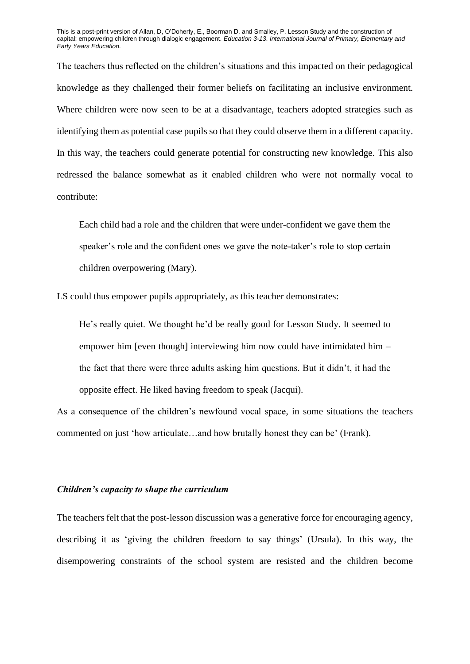The teachers thus reflected on the children's situations and this impacted on their pedagogical knowledge as they challenged their former beliefs on facilitating an inclusive environment. Where children were now seen to be at a disadvantage, teachers adopted strategies such as identifying them as potential case pupils so that they could observe them in a different capacity. In this way, the teachers could generate potential for constructing new knowledge. This also redressed the balance somewhat as it enabled children who were not normally vocal to contribute:

Each child had a role and the children that were under-confident we gave them the speaker's role and the confident ones we gave the note-taker's role to stop certain children overpowering (Mary).

LS could thus empower pupils appropriately, as this teacher demonstrates:

He's really quiet. We thought he'd be really good for Lesson Study. It seemed to empower him [even though] interviewing him now could have intimidated him – the fact that there were three adults asking him questions. But it didn't, it had the opposite effect. He liked having freedom to speak (Jacqui).

As a consequence of the children's newfound vocal space, in some situations the teachers commented on just 'how articulate…and how brutally honest they can be' (Frank).

# *Children's capacity to shape the curriculum*

The teachers felt that the post-lesson discussion was a generative force for encouraging agency, describing it as 'giving the children freedom to say things' (Ursula). In this way, the disempowering constraints of the school system are resisted and the children become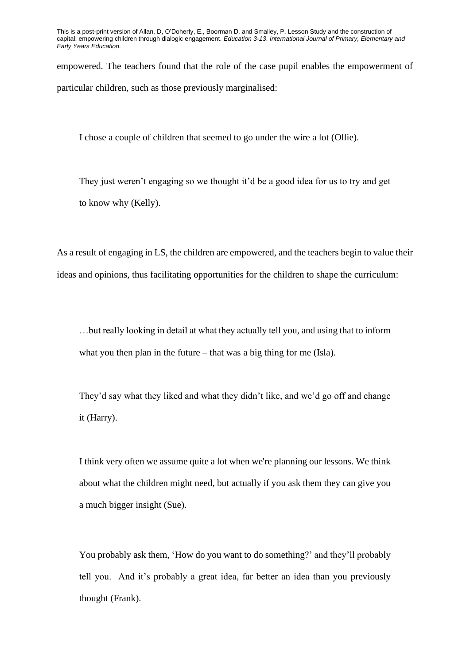empowered. The teachers found that the role of the case pupil enables the empowerment of particular children, such as those previously marginalised:

I chose a couple of children that seemed to go under the wire a lot (Ollie).

They just weren't engaging so we thought it'd be a good idea for us to try and get to know why (Kelly).

As a result of engaging in LS, the children are empowered, and the teachers begin to value their ideas and opinions, thus facilitating opportunities for the children to shape the curriculum:

…but really looking in detail at what they actually tell you, and using that to inform what you then plan in the future – that was a big thing for me (Isla).

They'd say what they liked and what they didn't like, and we'd go off and change it (Harry).

I think very often we assume quite a lot when we're planning our lessons. We think about what the children might need, but actually if you ask them they can give you a much bigger insight (Sue).

You probably ask them, 'How do you want to do something?' and they'll probably tell you. And it's probably a great idea, far better an idea than you previously thought (Frank).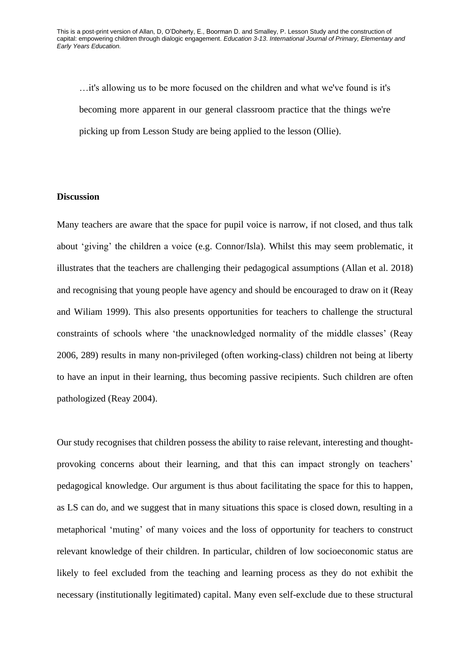…it's allowing us to be more focused on the children and what we've found is it's becoming more apparent in our general classroom practice that the things we're picking up from Lesson Study are being applied to the lesson (Ollie).

# **Discussion**

Many teachers are aware that the space for pupil voice is narrow, if not closed, and thus talk about 'giving' the children a voice (e.g. Connor/Isla). Whilst this may seem problematic, it illustrates that the teachers are challenging their pedagogical assumptions (Allan et al. 2018) and recognising that young people have agency and should be encouraged to draw on it (Reay and Wiliam 1999). This also presents opportunities for teachers to challenge the structural constraints of schools where 'the unacknowledged normality of the middle classes' (Reay 2006, 289) results in many non-privileged (often working-class) children not being at liberty to have an input in their learning, thus becoming passive recipients. Such children are often pathologized (Reay 2004).

Our study recognises that children possess the ability to raise relevant, interesting and thoughtprovoking concerns about their learning, and that this can impact strongly on teachers' pedagogical knowledge. Our argument is thus about facilitating the space for this to happen, as LS can do, and we suggest that in many situations this space is closed down, resulting in a metaphorical 'muting' of many voices and the loss of opportunity for teachers to construct relevant knowledge of their children. In particular, children of low socioeconomic status are likely to feel excluded from the teaching and learning process as they do not exhibit the necessary (institutionally legitimated) capital. Many even self-exclude due to these structural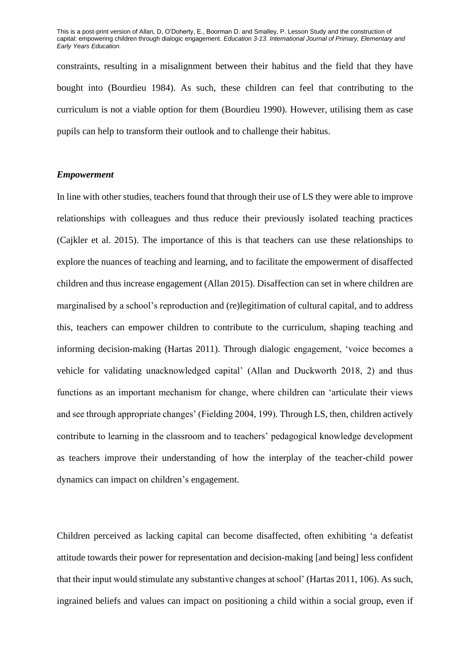constraints, resulting in a misalignment between their habitus and the field that they have bought into (Bourdieu 1984). As such, these children can feel that contributing to the curriculum is not a viable option for them (Bourdieu 1990). However, utilising them as case pupils can help to transform their outlook and to challenge their habitus.

#### *Empowerment*

In line with other studies, teachers found that through their use of LS they were able to improve relationships with colleagues and thus reduce their previously isolated teaching practices (Cajkler et al. 2015). The importance of this is that teachers can use these relationships to explore the nuances of teaching and learning, and to facilitate the empowerment of disaffected children and thus increase engagement (Allan 2015). Disaffection can set in where children are marginalised by a school's reproduction and (re)legitimation of cultural capital, and to address this, teachers can empower children to contribute to the curriculum, shaping teaching and informing decision-making (Hartas 2011). Through dialogic engagement, 'voice becomes a vehicle for validating unacknowledged capital' (Allan and Duckworth 2018, 2) and thus functions as an important mechanism for change, where children can 'articulate their views and see through appropriate changes' (Fielding 2004, 199). Through LS, then, children actively contribute to learning in the classroom and to teachers' pedagogical knowledge development as teachers improve their understanding of how the interplay of the teacher-child power dynamics can impact on children's engagement.

Children perceived as lacking capital can become disaffected, often exhibiting 'a defeatist attitude towards their power for representation and decision-making [and being] less confident that their input would stimulate any substantive changes at school' (Hartas 2011, 106). As such, ingrained beliefs and values can impact on positioning a child within a social group, even if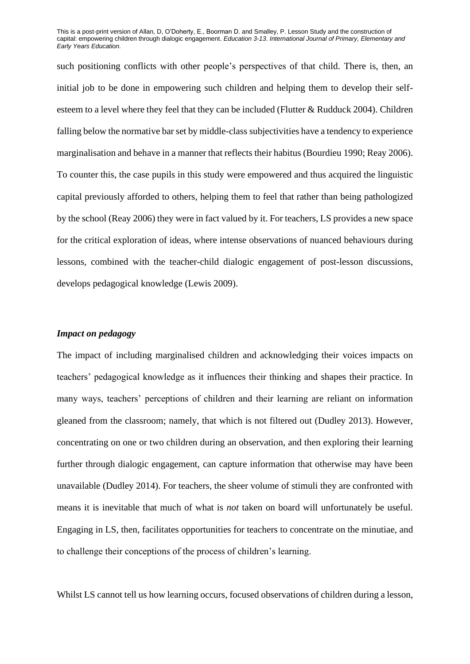such positioning conflicts with other people's perspectives of that child. There is, then, an initial job to be done in empowering such children and helping them to develop their selfesteem to a level where they feel that they can be included (Flutter & Rudduck 2004). Children falling below the normative bar set by middle-class subjectivities have a tendency to experience marginalisation and behave in a manner that reflects their habitus (Bourdieu 1990; Reay 2006). To counter this, the case pupils in this study were empowered and thus acquired the linguistic capital previously afforded to others, helping them to feel that rather than being pathologized by the school (Reay 2006) they were in fact valued by it. For teachers, LS provides a new space for the critical exploration of ideas, where intense observations of nuanced behaviours during lessons, combined with the teacher-child dialogic engagement of post-lesson discussions, develops pedagogical knowledge (Lewis 2009).

#### *Impact on pedagogy*

The impact of including marginalised children and acknowledging their voices impacts on teachers' pedagogical knowledge as it influences their thinking and shapes their practice. In many ways, teachers' perceptions of children and their learning are reliant on information gleaned from the classroom; namely, that which is not filtered out (Dudley 2013). However, concentrating on one or two children during an observation, and then exploring their learning further through dialogic engagement, can capture information that otherwise may have been unavailable (Dudley 2014). For teachers, the sheer volume of stimuli they are confronted with means it is inevitable that much of what is *not* taken on board will unfortunately be useful. Engaging in LS, then, facilitates opportunities for teachers to concentrate on the minutiae, and to challenge their conceptions of the process of children's learning.

Whilst LS cannot tell us how learning occurs, focused observations of children during a lesson,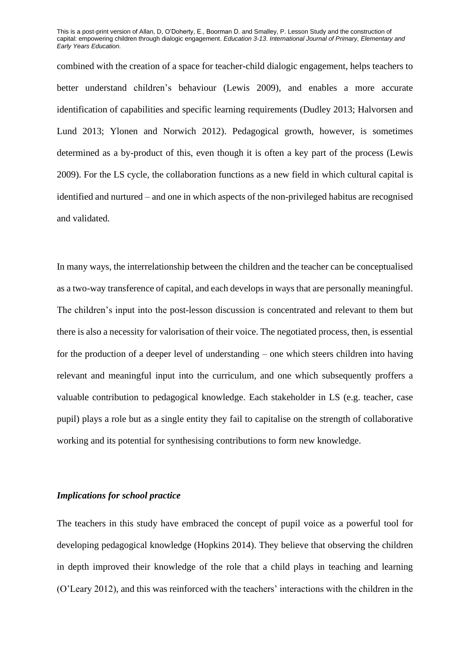combined with the creation of a space for teacher-child dialogic engagement, helps teachers to better understand children's behaviour (Lewis 2009), and enables a more accurate identification of capabilities and specific learning requirements (Dudley 2013; Halvorsen and Lund 2013; Ylonen and Norwich 2012). Pedagogical growth, however, is sometimes determined as a by-product of this, even though it is often a key part of the process (Lewis 2009). For the LS cycle, the collaboration functions as a new field in which cultural capital is identified and nurtured – and one in which aspects of the non-privileged habitus are recognised and validated.

In many ways, the interrelationship between the children and the teacher can be conceptualised as a two-way transference of capital, and each develops in ways that are personally meaningful. The children's input into the post-lesson discussion is concentrated and relevant to them but there is also a necessity for valorisation of their voice. The negotiated process, then, is essential for the production of a deeper level of understanding – one which steers children into having relevant and meaningful input into the curriculum, and one which subsequently proffers a valuable contribution to pedagogical knowledge. Each stakeholder in LS (e.g. teacher, case pupil) plays a role but as a single entity they fail to capitalise on the strength of collaborative working and its potential for synthesising contributions to form new knowledge.

# *Implications for school practice*

The teachers in this study have embraced the concept of pupil voice as a powerful tool for developing pedagogical knowledge (Hopkins 2014). They believe that observing the children in depth improved their knowledge of the role that a child plays in teaching and learning (O'Leary 2012), and this was reinforced with the teachers' interactions with the children in the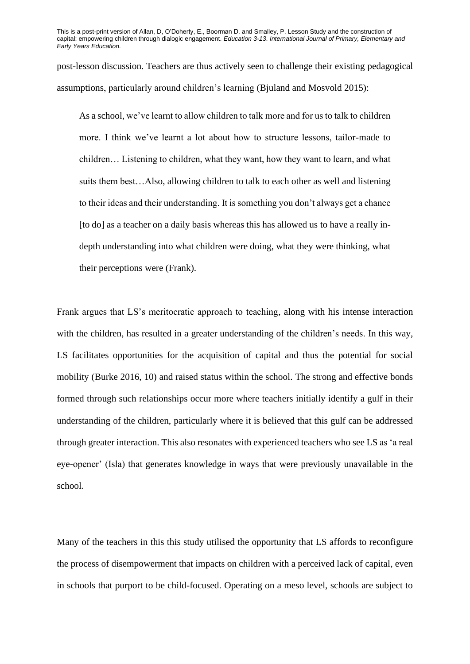post-lesson discussion. Teachers are thus actively seen to challenge their existing pedagogical assumptions, particularly around children's learning (Bjuland and Mosvold 2015):

As a school, we've learnt to allow children to talk more and for us to talk to children more. I think we've learnt a lot about how to structure lessons, tailor-made to children… Listening to children, what they want, how they want to learn, and what suits them best…Also, allowing children to talk to each other as well and listening to their ideas and their understanding. It is something you don't always get a chance [to do] as a teacher on a daily basis whereas this has allowed us to have a really indepth understanding into what children were doing, what they were thinking, what their perceptions were (Frank).

Frank argues that LS's meritocratic approach to teaching, along with his intense interaction with the children, has resulted in a greater understanding of the children's needs. In this way, LS facilitates opportunities for the acquisition of capital and thus the potential for social mobility (Burke 2016, 10) and raised status within the school. The strong and effective bonds formed through such relationships occur more where teachers initially identify a gulf in their understanding of the children, particularly where it is believed that this gulf can be addressed through greater interaction. This also resonates with experienced teachers who see LS as 'a real eye-opener' (Isla) that generates knowledge in ways that were previously unavailable in the school.

Many of the teachers in this this study utilised the opportunity that LS affords to reconfigure the process of disempowerment that impacts on children with a perceived lack of capital, even in schools that purport to be child-focused. Operating on a meso level, schools are subject to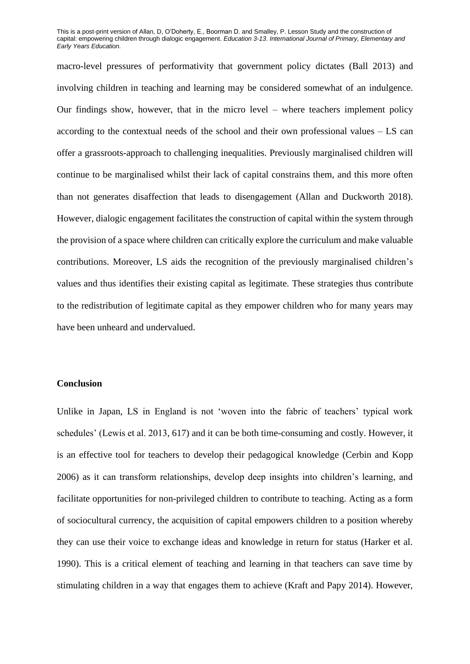macro-level pressures of performativity that government policy dictates (Ball 2013) and involving children in teaching and learning may be considered somewhat of an indulgence. Our findings show, however, that in the micro level – where teachers implement policy according to the contextual needs of the school and their own professional values – LS can offer a grassroots-approach to challenging inequalities. Previously marginalised children will continue to be marginalised whilst their lack of capital constrains them, and this more often than not generates disaffection that leads to disengagement (Allan and Duckworth 2018). However, dialogic engagement facilitates the construction of capital within the system through the provision of a space where children can critically explore the curriculum and make valuable contributions. Moreover, LS aids the recognition of the previously marginalised children's values and thus identifies their existing capital as legitimate. These strategies thus contribute to the redistribution of legitimate capital as they empower children who for many years may have been unheard and undervalued.

# **Conclusion**

Unlike in Japan, LS in England is not 'woven into the fabric of teachers' typical work schedules' (Lewis et al. 2013, 617) and it can be both time-consuming and costly. However, it is an effective tool for teachers to develop their pedagogical knowledge (Cerbin and Kopp 2006) as it can transform relationships, develop deep insights into children's learning, and facilitate opportunities for non-privileged children to contribute to teaching. Acting as a form of sociocultural currency, the acquisition of capital empowers children to a position whereby they can use their voice to exchange ideas and knowledge in return for status (Harker et al. 1990). This is a critical element of teaching and learning in that teachers can save time by stimulating children in a way that engages them to achieve (Kraft and Papy 2014). However,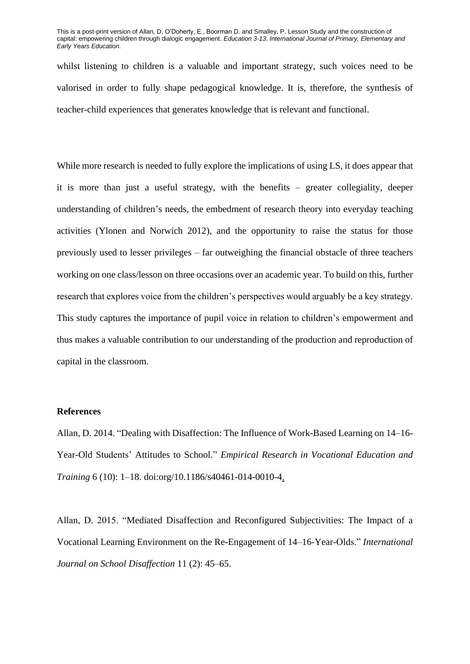whilst listening to children is a valuable and important strategy, such voices need to be valorised in order to fully shape pedagogical knowledge. It is, therefore, the synthesis of teacher-child experiences that generates knowledge that is relevant and functional.

While more research is needed to fully explore the implications of using LS, it does appear that it is more than just a useful strategy, with the benefits – greater collegiality, deeper understanding of children's needs, the embedment of research theory into everyday teaching activities (Ylonen and Norwich 2012), and the opportunity to raise the status for those previously used to lesser privileges – far outweighing the financial obstacle of three teachers working on one class/lesson on three occasions over an academic year. To build on this, further research that explores voice from the children's perspectives would arguably be a key strategy. This study captures the importance of pupil voice in relation to children's empowerment and thus makes a valuable contribution to our understanding of the production and reproduction of capital in the classroom.

#### **References**

Allan, D. 2014. "Dealing with Disaffection: The Influence of Work-Based Learning on 14–16- Year-Old Students' Attitudes to School." *Empirical Research in Vocational Education and Training* 6 (10): 1–18. doi:org/10.1186/s40461-014-0010-4.

Allan, D. 2015. "Mediated Disaffection and Reconfigured Subjectivities: The Impact of a Vocational Learning Environment on the Re-Engagement of 14–16-Year-Olds." *International Journal on School Disaffection* 11 (2): 45–65.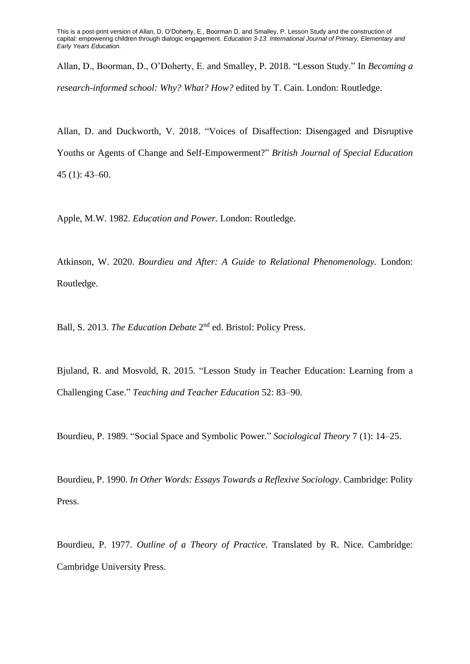Allan, D., Boorman, D., O'Doherty, E. and Smalley, P. 2018. "Lesson Study." In *Becoming a research-informed school: Why? What? How?* edited by T. Cain. London: Routledge.

Allan, D. and Duckworth, V. 2018. "Voices of Disaffection: Disengaged and Disruptive Youths or Agents of Change and Self-Empowerment?" *British Journal of Special Education* 45 (1): 43–60.

Apple, M.W. 1982. *Education and Power*. London: Routledge.

Atkinson, W. 2020. *Bourdieu and After: A Guide to Relational Phenomenology.* London: Routledge.

Ball, S. 2013. *The Education Debate* 2<sup>nd</sup> ed. Bristol: Policy Press.

Bjuland, R. and Mosvold, R. 2015. "Lesson Study in Teacher Education: Learning from a Challenging Case." *Teaching and Teacher Education* 52: 83–90.

Bourdieu, P. 1989. "Social Space and Symbolic Power." *Sociological Theory* 7 (1): 14–25.

Bourdieu, P. 1990. *In Other Words: Essays Towards a Reflexive Sociology*. Cambridge: Polity Press.

Bourdieu, P. 1977. *Outline of a Theory of Practice*. Translated by R. Nice. Cambridge: Cambridge University Press.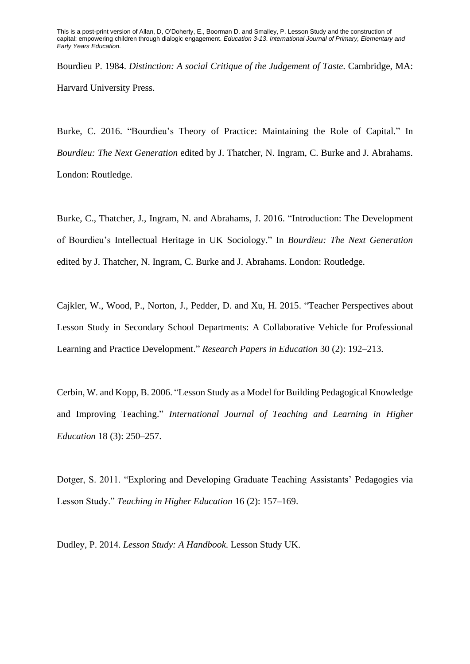Bourdieu P. 1984. *Distinction: A social Critique of the Judgement of Taste*. Cambridge, MA: Harvard University Press.

Burke, C. 2016. "Bourdieu's Theory of Practice: Maintaining the Role of Capital." In *Bourdieu: The Next Generation* edited by J. Thatcher, N. Ingram, C. Burke and J. Abrahams. London: Routledge.

Burke, C., Thatcher, J., Ingram, N. and Abrahams, J. 2016. "Introduction: The Development of Bourdieu's Intellectual Heritage in UK Sociology." In *Bourdieu: The Next Generation* edited by J. Thatcher, N. Ingram, C. Burke and J. Abrahams. London: Routledge.

Cajkler, W., Wood, P., Norton, J., Pedder, D. and Xu, H. 2015. "Teacher Perspectives about Lesson Study in Secondary School Departments: A Collaborative Vehicle for Professional Learning and Practice Development." *Research Papers in Education* 30 (2): 192–213.

Cerbin, W. and Kopp, B. 2006. "Lesson Study as a Model for Building Pedagogical Knowledge and Improving Teaching." *International Journal of Teaching and Learning in Higher Education* 18 (3): 250–257.

Dotger, S. 2011. "Exploring and Developing Graduate Teaching Assistants' Pedagogies via Lesson Study." *Teaching in Higher Education* 16 (2): 157–169.

Dudley, P. 2014. *Lesson Study: A Handbook*. Lesson Study UK.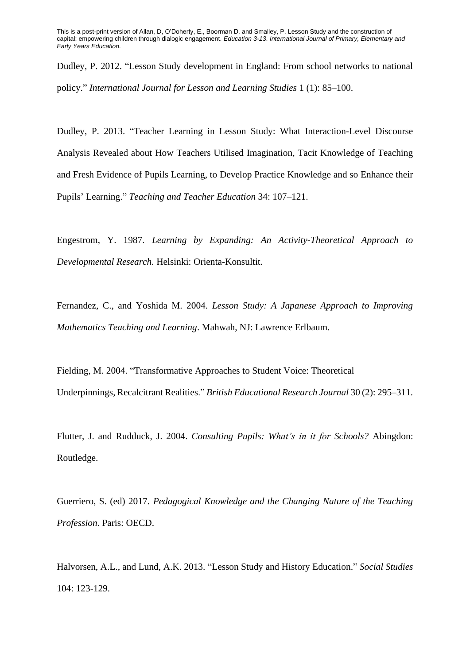Dudley, P. 2012. "Lesson Study development in England: From school networks to national policy." *International Journal for Lesson and Learning Studies* 1 (1): 85–100.

Dudley, P. 2013. "Teacher Learning in Lesson Study: What Interaction-Level Discourse Analysis Revealed about How Teachers Utilised Imagination, Tacit Knowledge of Teaching and Fresh Evidence of Pupils Learning, to Develop Practice Knowledge and so Enhance their Pupils' Learning." *Teaching and Teacher Education* 34: 107–121.

Engestrom, Y. 1987. *Learning by Expanding: An Activity-Theoretical Approach to Developmental Research.* Helsinki: Orienta-Konsultit.

Fernandez, C., and Yoshida M. 2004. *Lesson Study: A Japanese Approach to Improving Mathematics Teaching and Learning*. Mahwah, NJ: Lawrence Erlbaum.

Fielding, M. 2004. "Transformative Approaches to Student Voice: Theoretical Underpinnings, Recalcitrant Realities." *British Educational Research Journal* 30 (2): 295–311.

Flutter, J. and Rudduck, J. 2004. *Consulting Pupils: What's in it for Schools?* Abingdon: Routledge.

Guerriero, S. (ed) 2017. *Pedagogical Knowledge and the Changing Nature of the Teaching Profession*. Paris: OECD.

Halvorsen, A.L., and Lund, A.K. 2013. "Lesson Study and History Education." *Social Studies* 104: 123-129.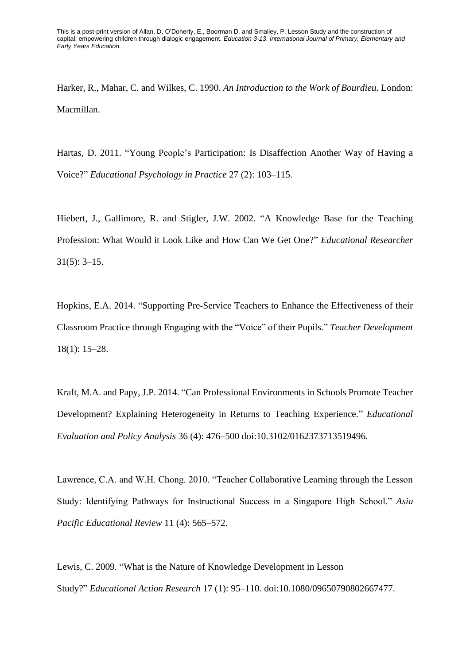Harker, R., Mahar, C. and Wilkes, C. 1990. *An Introduction to the Work of Bourdieu*. London: Macmillan.

Hartas, D. 2011. "Young People's Participation: Is Disaffection Another Way of Having a Voice?" *Educational Psychology in Practice* 27 (2): 103–115.

Hiebert, J., Gallimore, R. and Stigler, J.W. 2002. "A Knowledge Base for the Teaching Profession: What Would it Look Like and How Can We Get One?" *Educational Researcher*  31(5): 3–15.

Hopkins, E.A. 2014. "Supporting Pre-Service Teachers to Enhance the Effectiveness of their Classroom Practice through Engaging with the "Voice" of their Pupils." *Teacher Development* 18(1): 15–28.

Kraft, M.A. and Papy, J.P. 2014. "Can Professional Environments in Schools Promote Teacher Development? Explaining Heterogeneity in Returns to Teaching Experience." *Educational Evaluation and Policy Analysis* 36 (4): 476–500 doi:10.3102/0162373713519496.

Lawrence, C.A. and W.H. Chong. 2010. "Teacher Collaborative Learning through the Lesson Study: Identifying Pathways for Instructional Success in a Singapore High School." *Asia Pacific Educational Review* 11 (4): 565–572.

Lewis, C. 2009. "What is the Nature of Knowledge Development in Lesson Study?" *Educational Action Research* 17 (1): 95–110. doi:10.1080/09650790802667477.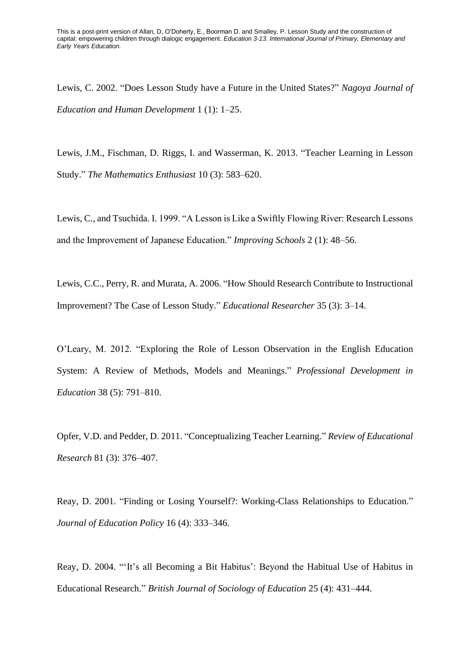Lewis, C. 2002. "Does Lesson Study have a Future in the United States?" *Nagoya Journal of Education and Human Development* 1 (1): 1–25.

Lewis, J.M., Fischman, D. Riggs, I. and Wasserman, K. 2013. "Teacher Learning in Lesson Study." *The Mathematics Enthusiast* 10 (3): 583–620.

Lewis, C., and Tsuchida. I. 1999. "A Lesson is Like a Swiftly Flowing River: Research Lessons and the Improvement of Japanese Education." *Improving Schools* 2 (1): 48–56.

Lewis, C.C., Perry, R. and Murata, A. 2006. "How Should Research Contribute to Instructional Improvement? The Case of Lesson Study." *Educational Researcher* 35 (3): 3–14.

O'Leary, M. 2012. "Exploring the Role of Lesson Observation in the English Education System: A Review of Methods, Models and Meanings." *Professional Development in Education* 38 (5): 791–810.

Opfer, V.D. and Pedder, D. 2011. "Conceptualizing Teacher Learning." *Review of Educational Research* 81 (3): 376–407.

Reay, D. 2001. "Finding or Losing Yourself?: Working-Class Relationships to Education." *Journal of Education Policy* 16 (4): 333–346.

Reay, D. 2004. "'It's all Becoming a Bit Habitus': Beyond the Habitual Use of Habitus in Educational Research." *British Journal of Sociology of Education* 25 (4): 431–444.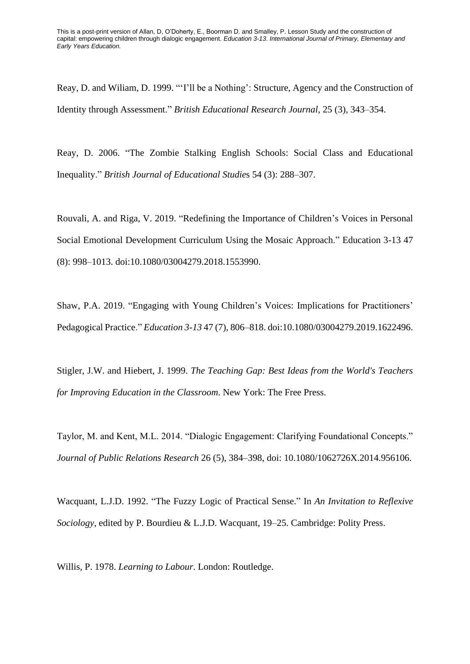Reay, D. and Wiliam, D. 1999. "'I'll be a Nothing': Structure, Agency and the Construction of Identity through Assessment." *British Educational Research Journal*, 25 (3), 343–354.

Reay, D. 2006. "The Zombie Stalking English Schools: Social Class and Educational Inequality." *British Journal of Educational Studie*s 54 (3): 288–307.

Rouvali, A. and Riga, V. 2019. "Redefining the Importance of Children's Voices in Personal Social Emotional Development Curriculum Using the Mosaic Approach." Education 3-13 47 (8): 998–1013. doi:10.1080/03004279.2018.1553990.

Shaw, P.A. 2019. "Engaging with Young Children's Voices: Implications for Practitioners' Pedagogical Practice." *Education 3-13* 47 (7), 806–818. doi:10.1080/03004279.2019.1622496.

Stigler, J.W. and Hiebert, J. 1999. *The Teaching Gap: Best Ideas from the World's Teachers for Improving Education in the Classroom*. New York: The Free Press.

Taylor, M. and Kent, M.L. 2014. "Dialogic Engagement: Clarifying Foundational Concepts." *Journal of Public Relations Research* 26 (5), 384–398, doi: 10.1080/1062726X.2014.956106.

Wacquant, L.J.D. 1992. "The Fuzzy Logic of Practical Sense." In *An Invitation to Reflexive Sociology*, edited by P. Bourdieu & L.J.D. Wacquant, 19–25. Cambridge: Polity Press.

Willis, P. 1978. *Learning to Labour*. London: Routledge.